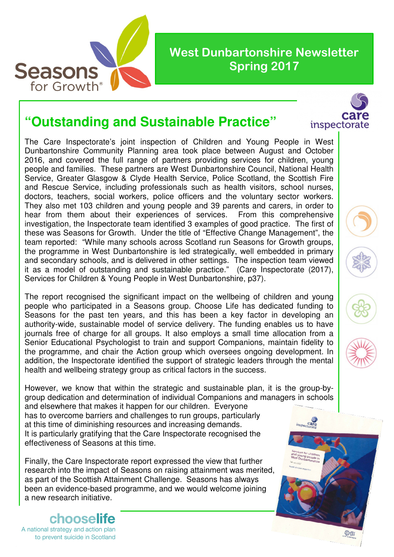

## **"Outstanding and Sustainable Practice"**

The Care Inspectorate's joint inspection of Children and Young People in West Dunbartonshire Community Planning area took place between August and October 2016, and covered the full range of partners providing services for children, young people and families. These partners are West Dunbartonshire Council, National Health Service, Greater Glasgow & Clyde Health Service, Police Scotland, the Scottish Fire and Rescue Service, including professionals such as health visitors, school nurses, doctors, teachers, social workers, police officers and the voluntary sector workers. They also met 103 children and young people and 39 parents and carers, in order to hear from them about their experiences of services. From this comprehensive investigation, the Inspectorate team identified 3 examples of good practice. The first of these was Seasons for Growth. Under the title of "Effective Change Management", the team reported: "While many schools across Scotland run Seasons for Growth groups, the programme in West Dunbartonshire is led strategically, well embedded in primary and secondary schools, and is delivered in other settings. The inspection team viewed it as a model of outstanding and sustainable practice." (Care Inspectorate (2017), Services for Children & Young People in West Dunbartonshire, p37).

The report recognised the significant impact on the wellbeing of children and young people who participated in a Seasons group. Choose Life has dedicated funding to Seasons for the past ten years, and this has been a key factor in developing an authority-wide, sustainable model of service delivery. The funding enables us to have journals free of charge for all groups. It also employs a small time allocation from a Senior Educational Psychologist to train and support Companions, maintain fidelity to the programme, and chair the Action group which oversees ongoing development. In addition, the Inspectorate identified the support of strategic leaders through the mental health and wellbeing strategy group as critical factors in the success.

However, we know that within the strategic and sustainable plan, it is the group-bygroup dedication and determination of individual Companions and managers in schools

and elsewhere that makes it happen for our children. Everyone has to overcome barriers and challenges to run groups, particularly at this time of diminishing resources and increasing demands. It is particularly gratifying that the Care Inspectorate recognised the effectiveness of Seasons at this time.

Finally, the Care Inspectorate report expressed the view that further research into the impact of Seasons on raising attainment was merited, as part of the Scottish Attainment Challenge. Seasons has always been an evidence-based programme, and we would welcome joining a new research initiative.

chooselr A national strategy and action plan to prevent suicide in Scotland